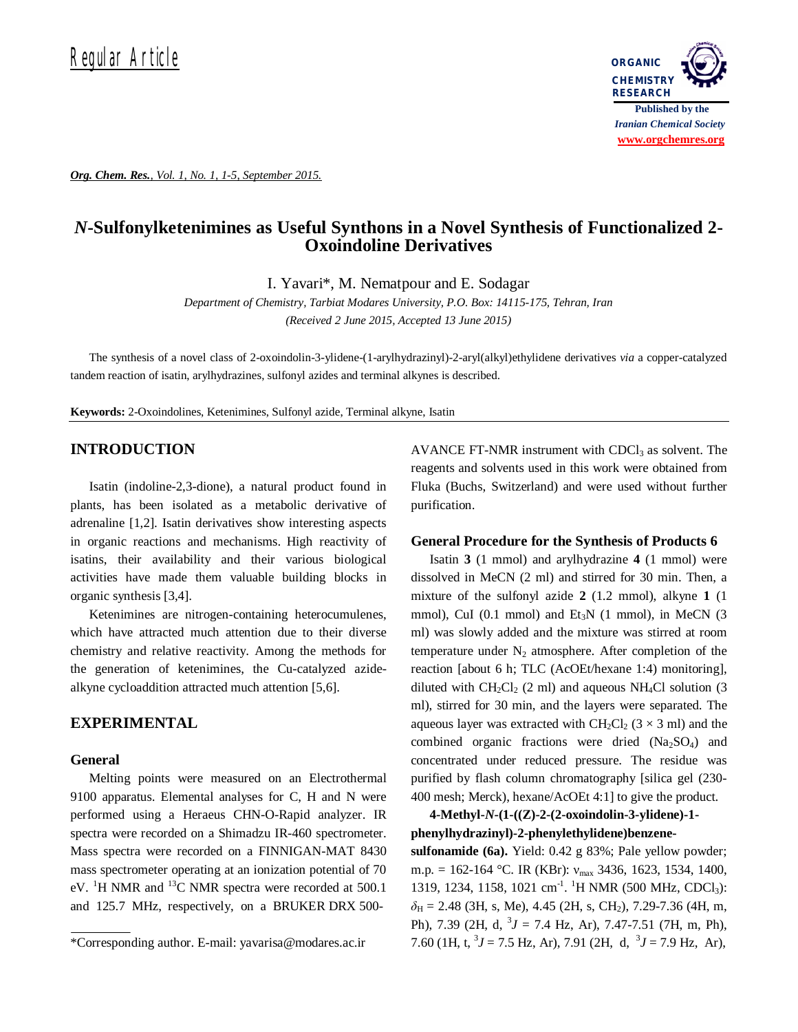*Org. Chem. Res., Vol. 1, No. 1, 1-5, September 2015.*



# *N***-Sulfonylketenimines as Useful Synthons in a Novel Synthesis of Functionalized 2- Oxoindoline Derivatives**

I. Yavari\*, M. Nematpour and E. Sodagar

*Department of Chemistry, Tarbiat Modares University, P.O. Box: 14115-175, Tehran, Iran (Received 2 June 2015, Accepted 13 June 2015)*

The synthesis of a novel class of 2-oxoindolin-3-ylidene-(1-arylhydrazinyl)-2-aryl(alkyl)ethylidene derivatives *via* a copper-catalyzed tandem reaction of isatin, arylhydrazines, sulfonyl azides and terminal alkynes is described.

**Keywords:** 2-Oxoindolines, Ketenimines, Sulfonyl azide, Terminal alkyne, Isatin

#### **INTRODUCTION**

Isatin (indoline-2,3-dione), a natural product found in plants, has been isolated as a metabolic derivative of adrenaline [1,2]. Isatin derivatives show interesting aspects in organic reactions and mechanisms. High reactivity of isatins, their availability and their various biological activities have made them valuable building blocks in organic synthesis [3,4].

Ketenimines are nitrogen-containing heterocumulenes, which have attracted much attention due to their diverse chemistry and relative reactivity. Among the methods for the generation of ketenimines, the Cu-catalyzed azidealkyne cycloaddition attracted much attention [5,6].

## **EXPERIMENTAL**

#### **General**

Melting points were measured on an Electrothermal 9100 apparatus. Elemental analyses for C, H and N were performed using a Heraeus CHN-O-Rapid analyzer. IR spectra were recorded on a Shimadzu IR-460 spectrometer. Mass spectra were recorded on a FINNIGAN-MAT 8430 mass spectrometer operating at an ionization potential of 70 eV. <sup>1</sup>H NMR and <sup>13</sup>C NMR spectra were recorded at 500.1 and 125.7 MHz, respectively, on a BRUKER DRX 500AVANCE FT-NMR instrument with  $CDCl<sub>3</sub>$  as solvent. The reagents and solvents used in this work were obtained from Fluka (Buchs, Switzerland) and were used without further purification.

#### **General Procedure for the Synthesis of Products 6**

Isatin **3** (1 mmol) and arylhydrazine **4** (1 mmol) were dissolved in MeCN (2 ml) and stirred for 30 min. Then, a mixture of the sulfonyl azide **2** (1.2 mmol), alkyne **1** (1 mmol), CuI (0.1 mmol) and  $Et_3N$  (1 mmol), in MeCN (3 ml) was slowly added and the mixture was stirred at room temperature under  $N_2$  atmosphere. After completion of the reaction [about 6 h; TLC (AcOEt/hexane 1:4) monitoring], diluted with  $CH_2Cl_2$  (2 ml) and aqueous NH<sub>4</sub>Cl solution (3) ml), stirred for 30 min, and the layers were separated. The aqueous layer was extracted with  $CH_2Cl_2$  (3  $\times$  3 ml) and the combined organic fractions were dried  $(Na_2SO_4)$  and concentrated under reduced pressure. The residue was purified by flash column chromatography [silica gel (230- 400 mesh; Merck), hexane/AcOEt 4:1] to give the product.

**4-Methyl-***N***-(1-((Z)-2-(2-oxoindolin-3-ylidene)-1-**

**phenylhydrazinyl)-2-phenylethylidene)benzenesulfonamide (6a).** Yield: 0.42 g 83%; Pale yellow powder;

m.p. = 162-164 °C. IR (KBr):  $v_{\text{max}}$  3436, 1623, 1534, 1400, 1319, 1234, 1158, 1021 cm<sup>-1</sup>. <sup>1</sup>H NMR (500 MHz, CDCl<sub>3</sub>):  $\delta_H$  = 2.48 (3H, s, Me), 4.45 (2H, s, CH<sub>2</sub>), 7.29-7.36 (4H, m, Ph), 7.39 (2H, d,  ${}^{3}J = 7.4$  Hz, Ar), 7.47-7.51 (7H, m, Ph), 7.60 (1H, t,  ${}^{3}J = 7.5$  Hz, Ar), 7.91 (2H, d,  ${}^{3}J = 7.9$  Hz, Ar),

<sup>\*</sup>Corresponding author. E-mail: yavarisa@modares.ac.ir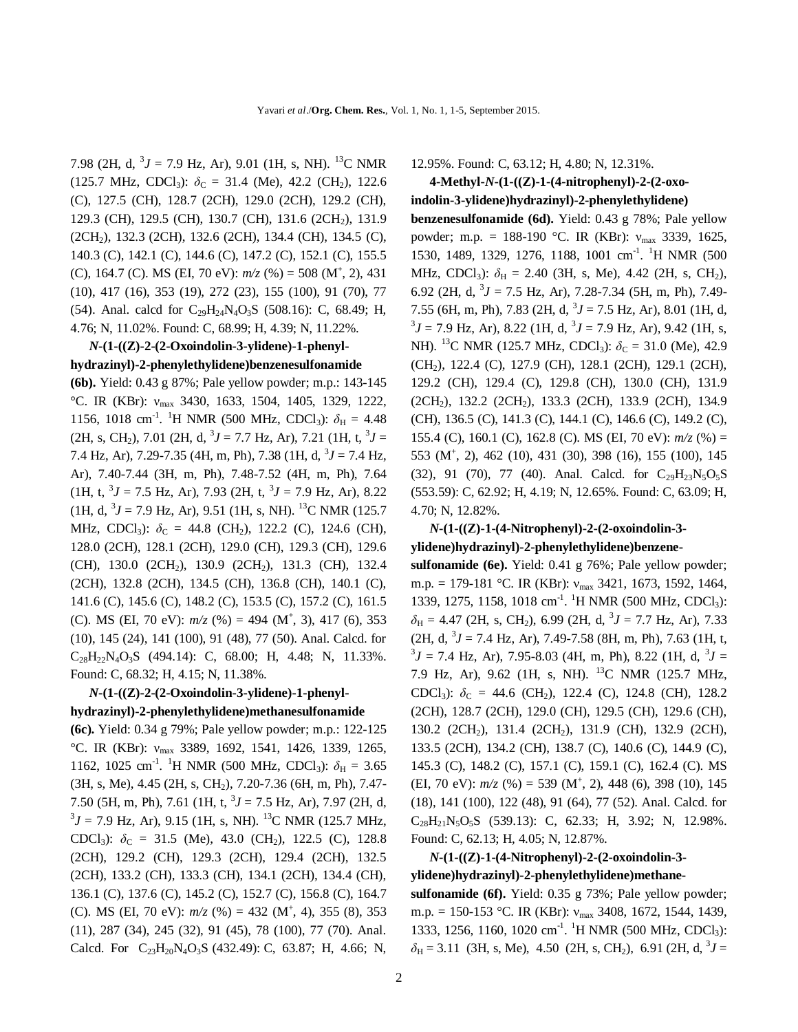7.98 (2H, d,  $3J = 7.9$  Hz, Ar), 9.01 (1H, s, NH). <sup>13</sup>C NMR (125.7 MHz, CDCl<sub>3</sub>):  $\delta$ <sub>C</sub> = 31.4 (Me), 42.2 (CH<sub>2</sub>), 122.6 (C), 127.5 (CH), 128.7 (2CH), 129.0 (2CH), 129.2 (CH), 129.3 (CH), 129.5 (CH), 130.7 (CH), 131.6 (2CH<sub>2</sub>), 131.9 (2CH2), 132.3 (2CH), 132.6 (2CH), 134.4 (CH), 134.5 (C), 140.3 (C), 142.1 (C), 144.6 (C), 147.2 (C), 152.1 (C), 155.5 (C), 164.7 (C). MS (EI, 70 eV):  $m/z$  (%) = 508 (M<sup>+</sup>, 2), 431 (10), 417 (16), 353 (19), 272 (23), 155 (100), 91 (70), 77 (54). Anal. calcd for  $C_{29}H_{24}N_4O_3S$  (508.16): C, 68.49; H, 4.76; N, 11.02%. Found: C, 68.99; H, 4.39; N, 11.22%.

#### *N***-(1-((Z)-2-(2-Oxoindolin-3-ylidene)-1-phenylhydrazinyl)-2-phenylethylidene)benzenesulfonamide**

**(6b).** Yield: 0.43 g 87%; Pale yellow powder; m.p.: 143-145 °C. IR (KBr): νmax 3430, 1633, 1504, 1405, 1329, 1222, 1156, 1018 cm<sup>-1</sup>. <sup>1</sup>H NMR (500 MHz, CDCl<sub>3</sub>):  $\delta_H = 4.48$  $(2H, s, CH_2), 7.01 (2H, d, \frac{3}{J} = 7.7 Hz, Ar), 7.21 (1H, t, \frac{3}{J} =$ 7.4 Hz, Ar), 7.29-7.35 (4H, m, Ph), 7.38 (1H, d, <sup>3</sup> *J* = 7.4 Hz, Ar), 7.40-7.44 (3H, m, Ph), 7.48-7.52 (4H, m, Ph), 7.64  $(1H, t, {}^{3}J = 7.5 \text{ Hz}, \text{Ar}), 7.93 (2H, t, {}^{3}J = 7.9 \text{ Hz}, \text{Ar}), 8.22$  $(1H, d, {}^{3}J = 7.9$  Hz, Ar), 9.51 (1H, s, NH). <sup>13</sup>C NMR (125.7) MHz, CDCl<sub>3</sub>):  $\delta_C = 44.8$  (CH<sub>2</sub>), 122.2 (C), 124.6 (CH), 128.0 (2CH), 128.1 (2CH), 129.0 (CH), 129.3 (CH), 129.6 (CH), 130.0 (2CH<sub>2</sub>), 130.9 (2CH<sub>2</sub>), 131.3 (CH), 132.4 (2CH), 132.8 (2CH), 134.5 (CH), 136.8 (CH), 140.1 (C), 141.6 (C), 145.6 (C), 148.2 (C), 153.5 (C), 157.2 (C), 161.5 (C). MS (EI, 70 eV):  $m/z$  (%) = 494 (M<sup>+</sup>, 3), 417 (6), 353 (10), 145 (24), 141 (100), 91 (48), 77 (50). Anal. Calcd. for  $C_{28}H_{22}N_{4}O_{3}S$  (494.14): C, 68.00; H, 4.48; N, 11.33%. Found: C, 68.32; H, 4.15; N, 11.38%.

#### *N***-(1-((Z)-2-(2-Oxoindolin-3-ylidene)-1-phenylhydrazinyl)-2-phenylethylidene)methanesulfonamide**

**(6c).** Yield: 0.34 g 79%; Pale yellow powder; m.p.: 122-125 °C. IR (KBr): νmax 3389, 1692, 1541, 1426, 1339, 1265, 1162, 1025 cm<sup>-1</sup>. <sup>1</sup>H NMR (500 MHz, CDCl<sub>3</sub>):  $\delta_H = 3.65$ (3H, s, Me), 4.45 (2H, s, CH2), 7.20-7.36 (6H, m, Ph), 7.47- 7.50 (5H, m, Ph), 7.61 (1H, t, <sup>3</sup>J = 7.5 Hz, Ar), 7.97 (2H, d,  ${}^{3}J$  = 7.9 Hz, Ar), 9.15 (1H, s, NH). <sup>13</sup>C NMR (125.7 MHz, CDCl<sub>3</sub>):  $\delta_C = 31.5$  (Me), 43.0 (CH<sub>2</sub>), 122.5 (C), 128.8 (2CH), 129.2 (CH), 129.3 (2CH), 129.4 (2CH), 132.5 (2CH), 133.2 (CH), 133.3 (CH), 134.1 (2CH), 134.4 (CH), 136.1 (C), 137.6 (C), 145.2 (C), 152.7 (C), 156.8 (C), 164.7 (C). MS (EI, 70 eV):  $m/z$  (%) = 432 (M<sup>+</sup>, 4), 355 (8), 353 (11), 287 (34), 245 (32), 91 (45), 78 (100), 77 (70). Anal. Calcd. For C<sub>23</sub>H<sub>20</sub>N<sub>4</sub>O<sub>3</sub>S (432.49): C, 63.87; H, 4.66; N,

12.95%. Found: C, 63.12; H, 4.80; N, 12.31%.

### **4-Methyl-***N***-(1-((Z)-1-(4-nitrophenyl)-2-(2-oxoindolin-3-ylidene)hydrazinyl)-2-phenylethylidene)**

**benzenesulfonamide (6d).** Yield: 0.43 g 78%; Pale yellow powder; m.p. = 188-190 °C. IR (KBr):  $v_{\text{max}}$  3339, 1625, 1530, 1489, 1329, 1276, 1188, 1001 cm<sup>-1</sup>. <sup>1</sup>H NMR (500 MHz, CDCl<sub>3</sub>):  $\delta_{\text{H}} = 2.40$  (3H, s, Me), 4.42 (2H, s, CH<sub>2</sub>), 6.92 (2H, d,  $3J = 7.5$  Hz, Ar), 7.28-7.34 (5H, m, Ph), 7.49-7.55 (6H, m, Ph), 7.83 (2H, d,  $3J = 7.5$  Hz, Ar), 8.01 (1H, d,  ${}^{3}J$  = 7.9 Hz, Ar), 8.22 (1H, d,  ${}^{3}J$  = 7.9 Hz, Ar), 9.42 (1H, s, NH). <sup>13</sup>C NMR (125.7 MHz, CDCl<sub>3</sub>):  $\delta_c = 31.0$  (Me), 42.9 (CH2), 122.4 (C), 127.9 (CH), 128.1 (2CH), 129.1 (2CH), 129.2 (CH), 129.4 (C), 129.8 (CH), 130.0 (CH), 131.9 (2CH<sub>2</sub>), 132.2 (2CH<sub>2</sub>), 133.3 (2CH), 133.9 (2CH), 134.9 (CH), 136.5 (C), 141.3 (C), 144.1 (C), 146.6 (C), 149.2 (C), 155.4 (C), 160.1 (C), 162.8 (C). MS (EI, 70 eV): *m/z* (%) = 553 (M<sup>+</sup> , 2), 462 (10), 431 (30), 398 (16), 155 (100), 145 (32), 91 (70), 77 (40). Anal. Calcd. for  $C_{29}H_{23}N_5O_5S$ (553.59): C, 62.92; H, 4.19; N, 12.65%. Found: C, 63.09; H, 4.70; N, 12.82%.

## *N***-(1-((Z)-1-(4-Nitrophenyl)-2-(2-oxoindolin-3 ylidene)hydrazinyl)-2-phenylethylidene)benzene-**

**sulfonamide (6e).** Yield: 0.41 g 76%; Pale yellow powder; m.p. = 179-181 °C. IR (KBr): ν<sub>max</sub> 3421, 1673, 1592, 1464, 1339, 1275, 1158, 1018 cm<sup>-1</sup>. <sup>1</sup>H NMR (500 MHz, CDCl<sub>3</sub>):  $\delta_H$  = 4.47 (2H, s, CH<sub>2</sub>), 6.99 (2H, d, <sup>3</sup>J = 7.7 Hz, Ar), 7.33  $(2H, d, {}^{3}J = 7.4 \text{ Hz}, \text{ Ar}), 7.49-7.58 \text{ (8H, m, Ph)}, 7.63 \text{ (1H, t, m, 1H)}$  ${}^{3}J = 7.4$  Hz, Ar), 7.95-8.03 (4H, m, Ph), 8.22 (1H, d,  ${}^{3}J =$ 7.9 Hz, Ar), 9.62 (1H, s, NH). <sup>13</sup>C NMR (125.7 MHz, CDCl<sub>3</sub>):  $\delta_C = 44.6$  (CH<sub>2</sub>), 122.4 (C), 124.8 (CH), 128.2 (2CH), 128.7 (2CH), 129.0 (CH), 129.5 (CH), 129.6 (CH), 130.2 (2CH<sub>2</sub>), 131.4 (2CH<sub>2</sub>), 131.9 (CH), 132.9 (2CH), 133.5 (2CH), 134.2 (CH), 138.7 (C), 140.6 (C), 144.9 (C), 145.3 (C), 148.2 (C), 157.1 (C), 159.1 (C), 162.4 (C). MS (EI, 70 eV):  $m/z$  (%) = 539 (M<sup>+</sup>, 2), 448 (6), 398 (10), 145 (18), 141 (100), 122 (48), 91 (64), 77 (52). Anal. Calcd. for  $C_{28}H_{21}N_5O_5S$  (539.13): C, 62.33; H, 3.92; N, 12.98%. Found: C, 62.13; H, 4.05; N, 12.87%.

## *N***-(1-((Z)-1-(4-Nitrophenyl)-2-(2-oxoindolin-3 ylidene)hydrazinyl)-2-phenylethylidene)methane-**

**sulfonamide (6f).** Yield: 0.35 g 73%; Pale yellow powder; m.p. = 150-153 °C. IR (KBr): ν<sub>max</sub> 3408, 1672, 1544, 1439, 1333, 1256, 1160, 1020 cm<sup>-1</sup>. <sup>1</sup>H NMR (500 MHz, CDCl<sub>3</sub>):  $\delta_H$  = 3.11 (3H, s, Me), 4.50 (2H, s, CH<sub>2</sub>), 6.91 (2H, d, <sup>3</sup>J =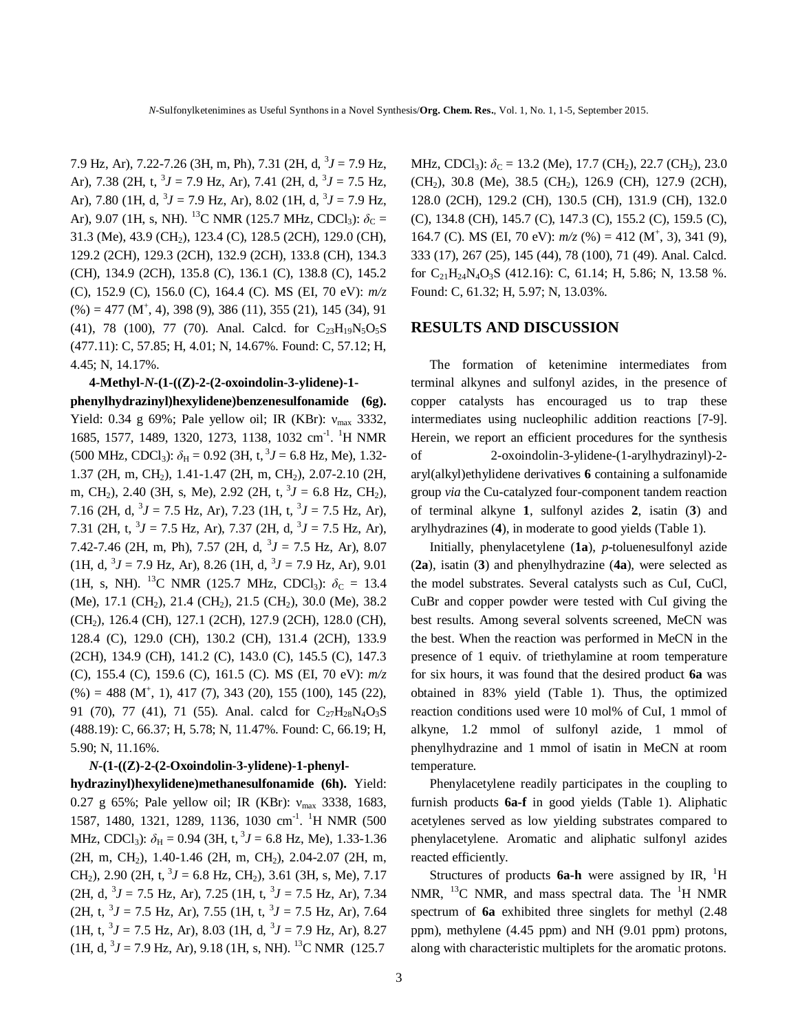7.9 Hz, Ar), 7.22-7.26 (3H, m, Ph), 7.31 (2H, d, <sup>3</sup> *J* = 7.9 Hz, Ar), 7.38 (2H, t,  ${}^{3}J = 7.9$  Hz, Ar), 7.41 (2H, d,  ${}^{3}J = 7.5$  Hz, Ar), 7.80 (1H, d,  $3J = 7.9$  Hz, Ar), 8.02 (1H, d,  $3J = 7.9$  Hz, Ar), 9.07 (1H, s, NH). <sup>13</sup>C NMR (125.7 MHz, CDCl<sub>3</sub>):  $\delta_c$  = 31.3 (Me), 43.9 (CH2), 123.4 (C), 128.5 (2CH), 129.0 (CH), 129.2 (2CH), 129.3 (2CH), 132.9 (2CH), 133.8 (CH), 134.3 (CH), 134.9 (2CH), 135.8 (C), 136.1 (C), 138.8 (C), 145.2 (C), 152.9 (C), 156.0 (C), 164.4 (C). MS (EI, 70 eV): *m/z*  $(\%) = 477 \, (M^+, 4), 398 \, (9), 386 \, (11), 355 \, (21), 145 \, (34), 91$ (41), 78 (100), 77 (70). Anal. Calcd. for  $C_{23}H_{19}N_5O_5S$ (477.11): C, 57.85; H, 4.01; N, 14.67%. Found: C, 57.12; H, 4.45; N, 14.17%.

**4-Methyl-***N***-(1-((Z)-2-(2-oxoindolin-3-ylidene)-1 phenylhydrazinyl)hexylidene)benzenesulfonamide (6g).**  Yield: 0.34 g 69%; Pale yellow oil; IR (KBr):  $v_{\text{max}}$  3332, 1685, 1577, 1489, 1320, 1273, 1138, 1032 cm<sup>-1</sup>. <sup>1</sup>H NMR  $(500 \text{ MHz}, \text{CDCl}_3)$ :  $\delta_{\text{H}} = 0.92 \text{ (3H, t, }^3 J = 6.8 \text{ Hz, Me})$ , 1.32-1.37 (2H, m, CH2), 1.41-1.47 (2H, m, CH2), 2.07-2.10 (2H, m, CH<sub>2</sub>), 2.40 (3H, s, Me), 2.92 (2H, t,  ${}^{3}J = 6.8$  Hz, CH<sub>2</sub>), 7.16 (2H, d,  ${}^{3}J = 7.5$  Hz, Ar), 7.23 (1H, t,  ${}^{3}J = 7.5$  Hz, Ar), 7.31 (2H, t,  ${}^{3}J = 7.5$  Hz, Ar), 7.37 (2H, d,  ${}^{3}J = 7.5$  Hz, Ar), 7.42-7.46 (2H, m, Ph), 7.57 (2H, d, <sup>3</sup>J = 7.5 Hz, Ar), 8.07  $(1H, d, {}^{3}J = 7.9$  Hz, Ar), 8.26  $(1H, d, {}^{3}J = 7.9$  Hz, Ar), 9.01 (1H, s, NH). <sup>13</sup>C NMR (125.7 MHz, CDCl<sub>3</sub>):  $\delta_c = 13.4$ (Me), 17.1 (CH<sub>2</sub>), 21.4 (CH<sub>2</sub>), 21.5 (CH<sub>2</sub>), 30.0 (Me), 38.2 (CH2), 126.4 (CH), 127.1 (2CH), 127.9 (2CH), 128.0 (CH), 128.4 (C), 129.0 (CH), 130.2 (CH), 131.4 (2CH), 133.9 (2CH), 134.9 (CH), 141.2 (C), 143.0 (C), 145.5 (C), 147.3 (C), 155.4 (C), 159.6 (C), 161.5 (C). MS (EI, 70 eV): *m/z*  $(\%) = 488 \ (M^+, 1), 417 \ (7), 343 \ (20), 155 \ (100), 145 \ (22),$ 91 (70), 77 (41), 71 (55). Anal. calcd for  $C_{27}H_{28}N_4O_3S$ (488.19): C, 66.37; H, 5.78; N, 11.47%. Found: C, 66.19; H, 5.90; N, 11.16%.

*N***-(1-((Z)-2-(2-Oxoindolin-3-ylidene)-1-phenylhydrazinyl)hexylidene)methanesulfonamide (6h).** Yield: 0.27 g 65%; Pale yellow oil; IR (KBr): νmax 3338, 1683, 1587, 1480, 1321, 1289, 1136, 1030 cm<sup>-1</sup>. <sup>1</sup>H NMR (500 MHz, CDCl<sub>3</sub>):  $\delta_H = 0.94$  (3H, t,  ${}^3J = 6.8$  Hz, Me), 1.33-1.36 (2H, m, CH<sub>2</sub>), 1.40-1.46 (2H, m, CH<sub>2</sub>), 2.04-2.07 (2H, m, CH<sub>2</sub>), 2.90 (2H, t,  ${}^{3}J = 6.8$  Hz, CH<sub>2</sub>), 3.61 (3H, s, Me), 7.17  $(2H, d, {}^{3}J = 7.5 \text{ Hz}, \text{Ar}), 7.25 (1H, t, {}^{3}J = 7.5 \text{ Hz}, \text{Ar}), 7.34$  $(2H, t, {}^{3}J = 7.5 \text{ Hz}, \text{Ar}), 7.55 (1H, t, {}^{3}J = 7.5 \text{ Hz}, \text{Ar}), 7.64$  $(1H, t, {}^{3}J = 7.5 \text{ Hz}, \text{Ar}), 8.03 (1H, d, {}^{3}J = 7.9 \text{ Hz}, \text{Ar}), 8.27$  $(1H, d, {}^{3}J = 7.9 \text{ Hz}, \text{Ar}), 9.18 (1H, s, NH).$ <sup>13</sup>C NMR (125.7)

MHz, CDCl<sub>3</sub>):  $\delta_C = 13.2$  (Me), 17.7 (CH<sub>2</sub>), 22.7 (CH<sub>2</sub>), 23.0 (CH<sub>2</sub>), 30.8 (Me), 38.5 (CH<sub>2</sub>), 126.9 (CH), 127.9 (2CH), 128.0 (2CH), 129.2 (CH), 130.5 (CH), 131.9 (CH), 132.0 (C), 134.8 (CH), 145.7 (C), 147.3 (C), 155.2 (C), 159.5 (C), 164.7 (C). MS (EI, 70 eV):  $m/z$  (%) = 412 (M<sup>+</sup>, 3), 341 (9), 333 (17), 267 (25), 145 (44), 78 (100), 71 (49). Anal. Calcd. for  $C_{21}H_{24}N_{4}O_{3}S$  (412.16): C, 61.14; H, 5.86; N, 13.58 %. Found: C, 61.32; H, 5.97; N, 13.03%.

#### **RESULTS AND DISCUSSION**

The formation of ketenimine intermediates from terminal alkynes and sulfonyl azides, in the presence of copper catalysts has encouraged us to trap these intermediates using nucleophilic addition reactions [7-9]. Herein, we report an efficient procedures for the synthesis of 2-oxoindolin-3-ylidene-(1-arylhydrazinyl)-2 aryl(alkyl)ethylidene derivatives **6** containing a sulfonamide group *via* the Cu-catalyzed four-component tandem reaction of terminal alkyne **1**, sulfonyl azides **2**, isatin (**3**) and arylhydrazines (**4**), in moderate to good yields (Table 1).

Initially, phenylacetylene (**1a**), *p*-toluenesulfonyl azide (**2a**), isatin (**3**) and phenylhydrazine (**4a**), were selected as the model substrates. Several catalysts such as CuI, CuCl, CuBr and copper powder were tested with CuI giving the best results. Among several solvents screened, MeCN was the best. When the reaction was performed in MeCN in the presence of 1 equiv. of triethylamine at room temperature for six hours, it was found that the desired product **6a** was obtained in 83% yield (Table 1). Thus, the optimized reaction conditions used were 10 mol% of CuI, 1 mmol of alkyne, 1.2 mmol of sulfonyl azide, 1 mmol of phenylhydrazine and 1 mmol of isatin in MeCN at room temperature.

Phenylacetylene readily participates in the coupling to furnish products **6a-f** in good yields (Table 1). Aliphatic acetylenes served as low yielding substrates compared to phenylacetylene. Aromatic and aliphatic sulfonyl azides reacted efficiently.

Structures of products **6a-h** were assigned by IR, <sup>1</sup>H NMR,  $^{13}$ C NMR, and mass spectral data. The <sup>1</sup>H NMR spectrum of **6a** exhibited three singlets for methyl (2.48 ppm), methylene (4.45 ppm) and NH (9.01 ppm) protons, along with characteristic multiplets for the aromatic protons.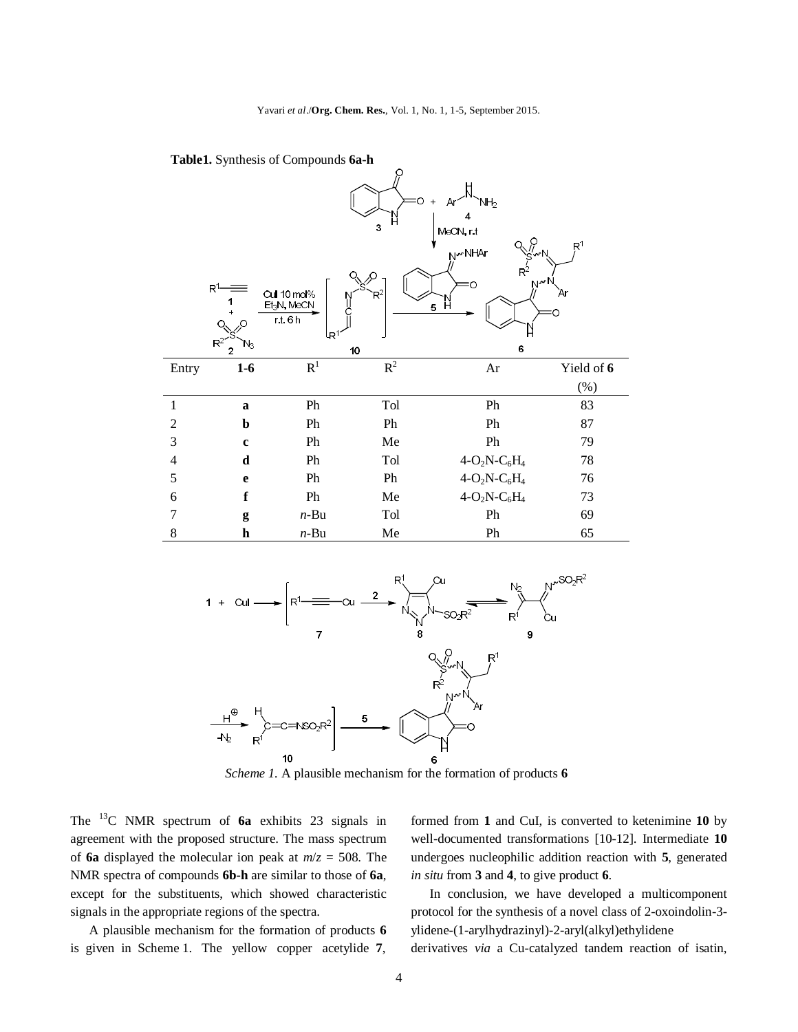Yavari *et al*./**Org. Chem. Res.**, Vol. 1, No. 1, 1-5, September 2015.



 **Table1.** Synthesis of Compounds **6a-h**

*Scheme 1.* A plausible mechanism for the formation of products **6**

6

The <sup>13</sup>C NMR spectrum of **6a** exhibits 23 signals in agreement with the proposed structure. The mass spectrum of **6a** displayed the molecular ion peak at *m*/*z* = 508. The NMR spectra of compounds **6b-h** are similar to those of **6a**, except for the substituents, which showed characteristic signals in the appropriate regions of the spectra.

10

A plausible mechanism for the formation of products **6**  is given in Scheme 1. The yellow copper acetylide **7**, formed from **1** and CuI, is converted to ketenimine **10** by well-documented transformations [10-12]. Intermediate **10** undergoes nucleophilic addition reaction with **5**, generated *in situ* from **3** and **4**, to give product **6**.

In conclusion, we have developed a multicomponent protocol for the synthesis of a novel class of 2-oxoindolin-3 ylidene-(1-arylhydrazinyl)-2-aryl(alkyl)ethylidene derivatives *via* a Cu-catalyzed tandem reaction of isatin,